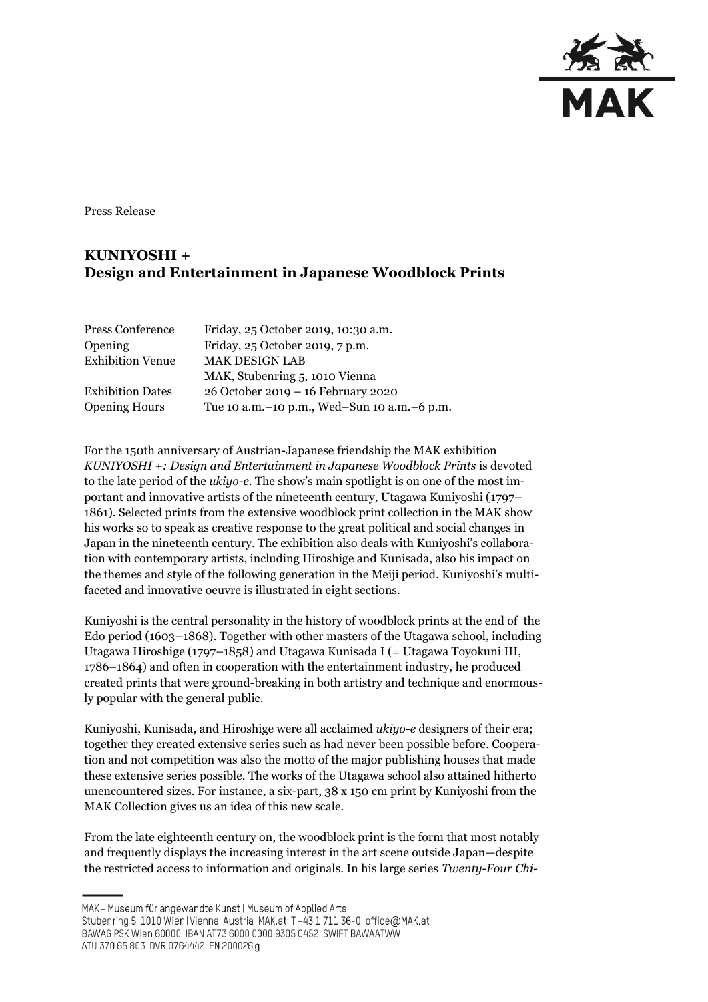

Press Release

## **KUNIYOSHI + Design and Entertainment in Japanese Woodblock Prints**

| Press Conference        | Friday, 25 October 2019, 10:30 a.m.             |
|-------------------------|-------------------------------------------------|
| Opening                 | Friday, 25 October 2019, 7 p.m.                 |
| <b>Exhibition Venue</b> | <b>MAK DESIGN LAB</b>                           |
|                         | MAK, Stubenring 5, 1010 Vienna                  |
| <b>Exhibition Dates</b> | 26 October 2019 - 16 February 2020              |
| <b>Opening Hours</b>    | Tue 10 a.m. - 10 p.m., Wed-Sun 10 a.m. - 6 p.m. |

For the 150th anniversary of Austrian-Japanese friendship the MAK exhibition *KUNIYOSHI +: Design and Entertainment in Japanese Woodblock Prints* is devoted to the late period of the *ukiyo-e*. The show's main spotlight is on one of the most important and innovative artists of the nineteenth century, Utagawa Kuniyoshi (1797– 1861). Selected prints from the extensive woodblock print collection in the MAK show his works so to speak as creative response to the great political and social changes in Japan in the nineteenth century. The exhibition also deals with Kuniyoshi's collaboration with contemporary artists, including Hiroshige and Kunisada, also his impact on the themes and style of the following generation in the Meiji period. Kuniyoshi's multifaceted and innovative oeuvre is illustrated in eight sections.

Kuniyoshi is the central personality in the history of woodblock prints at the end of the Edo period (1603–1868). Together with other masters of the Utagawa school, including Utagawa Hiroshige (1797–1858) and Utagawa Kunisada I (= Utagawa Toyokuni III, 1786–1864) and often in cooperation with the entertainment industry, he produced created prints that were ground-breaking in both artistry and technique and enormously popular with the general public.

Kuniyoshi, Kunisada, and Hiroshige were all acclaimed *ukiyo-e* designers of their era; together they created extensive series such as had never been possible before. Cooperation and not competition was also the motto of the major publishing houses that made these extensive series possible. The works of the Utagawa school also attained hitherto unencountered sizes. For instance, a six-part, 38 x 150 cm print by Kuniyoshi from the MAK Collection gives us an idea of this new scale.

From the late eighteenth century on, the woodblock print is the form that most notably and frequently displays the increasing interest in the art scene outside Japan—despite the restricted access to information and originals. In his large series *Twenty-Four Chi-*

MAK - Museum für angewandte Kunst | Museum of Applied Arts

ATU 370 65 803 DVR 0764442 FN 200026 g

Stubenring 5 1010 Wien | Vienna Austria MAK.at T+43 1 711 36-0 office@MAK.at

BAWAG PSK Wien 60000 IBAN AT73 6000 0000 9305 0452 SWIFT BAWAATWW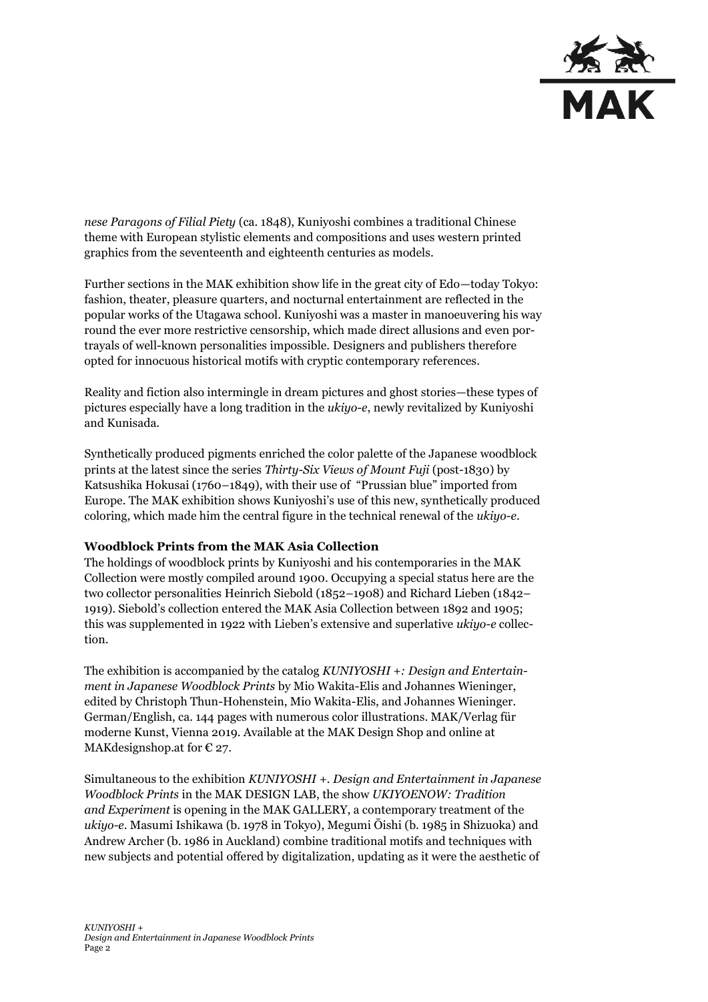

*nese Paragons of Filial Piety* (ca. 1848), Kuniyoshi combines a traditional Chinese theme with European stylistic elements and compositions and uses western printed graphics from the seventeenth and eighteenth centuries as models.

Further sections in the MAK exhibition show life in the great city of Edo—today Tokyo: fashion, theater, pleasure quarters, and nocturnal entertainment are reflected in the popular works of the Utagawa school. Kuniyoshi was a master in manoeuvering his way round the ever more restrictive censorship, which made direct allusions and even portrayals of well-known personalities impossible. Designers and publishers therefore opted for innocuous historical motifs with cryptic contemporary references.

Reality and fiction also intermingle in dream pictures and ghost stories—these types of pictures especially have a long tradition in the *ukiyo-e*, newly revitalized by Kuniyoshi and Kunisada.

Synthetically produced pigments enriched the color palette of the Japanese woodblock prints at the latest since the series *Thirty-Six Views of Mount Fuji* (post-1830) by Katsushika Hokusai (1760–1849), with their use of "Prussian blue" imported from Europe. The MAK exhibition shows Kuniyoshi's use of this new, synthetically produced coloring, which made him the central figure in the technical renewal of the *ukiyo-e*.

## **Woodblock Prints from the MAK Asia Collection**

The holdings of woodblock prints by Kuniyoshi and his contemporaries in the MAK Collection were mostly compiled around 1900. Occupying a special status here are the two collector personalities Heinrich Siebold (1852–1908) and Richard Lieben (1842– 1919). Siebold's collection entered the MAK Asia Collection between 1892 and 1905; this was supplemented in 1922 with Lieben's extensive and superlative *ukiyo-e* collection.

The exhibition is accompanied by the catalog *KUNIYOSHI +: Design and Entertainment in Japanese Woodblock Prints* by Mio Wakita-Elis and Johannes Wieninger, edited by Christoph Thun-Hohenstein, Mio Wakita-Elis, and Johannes Wieninger. German/English, ca. 144 pages with numerous color illustrations. MAK/Verlag für moderne Kunst, Vienna 2019. Available at the MAK Design Shop and online at MAK designshop.at for  $E$  27.

Simultaneous to the exhibition *KUNIYOSHI +. Design and Entertainment in Japanese Woodblock Prints* in the MAK DESIGN LAB, the show *UKIYOENOW: Tradition and Experiment* is opening in the MAK GALLERY, a contemporary treatment of the *ukiyo-e*. Masumi Ishikawa (b. 1978 in Tokyo), Megumi Ōishi (b. 1985 in Shizuoka) and Andrew Archer (b. 1986 in Auckland) combine traditional motifs and techniques with new subjects and potential offered by digitalization, updating as it were the aesthetic of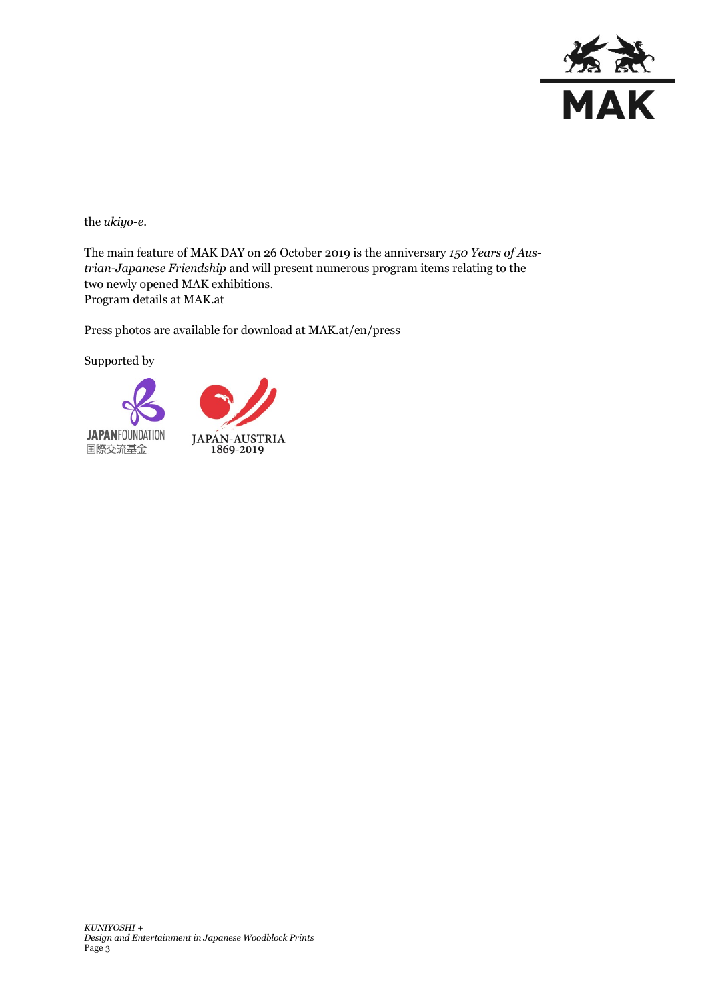

the *ukiyo-e*.

The main feature of MAK DAY on 26 October 2019 is the anniversary *150 Years of Austrian-Japanese Friendship* and will present numerous program items relating to the two newly opened MAK exhibitions. Program details at MAK.at

Press photos are available for download at MAK.at/en/press

Supported by